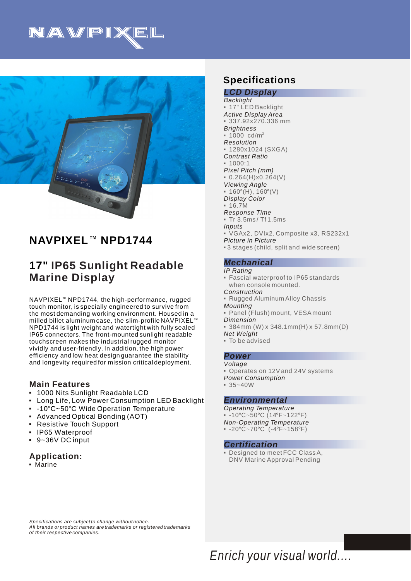



# **NAVPIXEL<sup>™</sup> NPD1744**

# **17" IP65 Sunlight Readable Marine Display**

NAVPIXEL<sup>™</sup> NPD1744, the high-performance, rugged touch monitor, is specially engineered to survive from the most demanding working environment. Housed in a milled billet aluminum case, the slim-profile NAVPIXEL $^{\scriptscriptstyle\rm I\hspace{-1pt}I\hspace{-1pt}I}$ NPD1744 is light weight and watertight with fully sealed IP65 connectors. The front-mounted sunlight readable touchscreen makes the industrial rugged monitor vividly and user-friendly. In addition, the high power efficiency and low heat design guarantee the stability and longevity required for mission critical deployment.

### **Main Features**

- 1000 Nits Sunlight Readable LCD 3
- Long Life, Low Power Consumption LED Backlight 3
- $\,$  -10°C~50°C Wide Operation Temperature
- Advanced Optical Bonding (AOT) 3
- Resistive Touch Support 3
- IP65 Waterproof 3
- 9~36V DC input 3

## **Application:**

**• Marine** 

## **Specifications**

*Picture in Picture LCD Display Backlight Active Display Area Brightness Resolution Contrast Ratio Pixel Pitch (mm) Viewing Angle Display Color Response Time Inputs* - 17" LED Backlight 3 337.92x270.336 mm 2 1000 cd/m 3  $-1280x1024$  (SXGA)  $= 1000:1$  $0.264(H)x0.264(V)$  $\bullet$  160°(H), 160°(V)  $-16.7M$ 3 Tr 3.5ms / Tf 1.5ms 3VGAx2, DVIx2, Composite x3, RS232x1 3 3 stages (child, split and wide screen)

#### *Mechanical*

*IP Rating*

- 3Fascial waterproof to IP65 standards when console mounted.
- *Construction*
- *Mounting* **Rugged Aluminum Alloy Chassis**
- *Dimension*  3Panel (Flush) mount, VESA mount
- 
- *Net Weight* 3 384mm (W) x 348.1mm(H) x 57.8mm(D)
- 3To be advised

#### *Power*

- *Voltage*
- Operates on 12V and 24V systems
- *Power Consumption*
- $= 35 40W$

#### *Environmental*

- *Operating Temperature*
- $-10^{\circ}$ C~50°C (14°F~122°F)
- *Non-Operating Temperature*
- $= -20^{\circ}C 70^{\circ}C$  (-4°F~158°F)

#### *Certification*

3Designed to meet FCC Class A, DNV Marine Approval Pending

*Specifications are subject to change without notice. All brands or product names are trademarks or registered trademarks of their respective companies.*

*Enrich your visual world....*